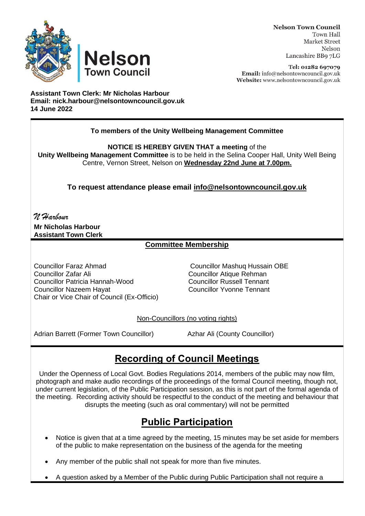



Tel: 01282 697079 Email: info@nelsontowncouncil.gov.uk Website: www.nelsontowncouncil.gov.uk

**Assistant Town Clerk: Mr Nicholas Harbour Email: nick.harbour@nelsontowncouncil.gov.uk 14 June 2022**

**Nelson** 

**Town Council** 

### **To members of the Unity Wellbeing Management Committee**

**NOTICE IS HEREBY GIVEN THAT a meeting** of the

**Unity Wellbeing Management Committee** is to be held in the Selina Cooper Hall, Unity Well Being Centre, Vernon Street, Nelson on **Wednesday 22nd June at 7.00pm.**

**To request attendance please email [info@nelsontowncouncil.gov.uk](mailto:info@nelsontowncouncil.gov.uk)**

*N Harbour* **Mr Nicholas Harbour Assistant Town Clerk**

### **Committee Membership**

Councillor Faraz Ahmad Councillor Mashuq Hussain OBE Councillor Zafar Ali Councillor Atique Rehman Councillor Patricia Hannah-Wood Councillor Nazeem Hayat Councillor Yvonne Tennant Chair or Vice Chair of Council (Ex-Officio)

Non-Councillors (no voting rights)

Adrian Barrett (Former Town Councillor) Azhar Ali (County Councillor)

# **Recording of Council Meetings**

Under the Openness of Local Govt. Bodies Regulations 2014, members of the public may now film, photograph and make audio recordings of the proceedings of the formal Council meeting, though not, under current legislation, of the Public Participation session, as this is not part of the formal agenda of the meeting. Recording activity should be respectful to the conduct of the meeting and behaviour that disrupts the meeting (such as oral commentary) will not be permitted

# **Public Participation**

- Notice is given that at a time agreed by the meeting, 15 minutes may be set aside for members of the public to make representation on the business of the agenda for the meeting
- Any member of the public shall not speak for more than five minutes.
- A question asked by a Member of the Public during Public Participation shall not require a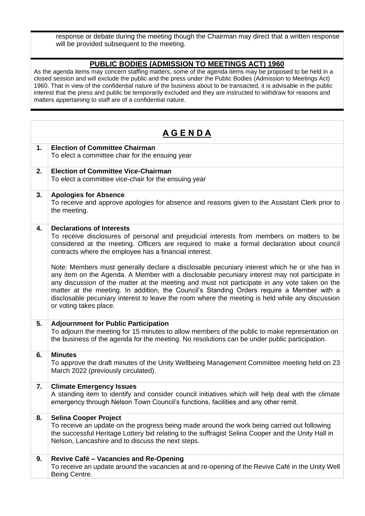response or debate during the meeting though the Chairman may direct that a written response will be provided subsequent to the meeting.

#### **PUBLIC BODIES (ADMISSION TO MEETINGS ACT) 1960**

As the agenda items may concern staffing matters, some of the agenda items may be proposed to be held in a closed session and will exclude the public and the press under the Public Bodies (Admission to Meetings Act) 1960. That in view of the confidential nature of the business about to be transacted, it is advisable in the public interest that the press and public be temporarily excluded and they are instructed to withdraw for reasons and matters appertaining to staff are of a confidential nature.

| <u>AGENDA</u> |                                                                                                                                                                                                                                                                                                                                                                                                                                                                                                                          |
|---------------|--------------------------------------------------------------------------------------------------------------------------------------------------------------------------------------------------------------------------------------------------------------------------------------------------------------------------------------------------------------------------------------------------------------------------------------------------------------------------------------------------------------------------|
| 1.            | <b>Election of Committee Chairman</b><br>To elect a committee chair for the ensuing year                                                                                                                                                                                                                                                                                                                                                                                                                                 |
| 2.            | <b>Election of Committee Vice-Chairman</b><br>To elect a committee vice-chair for the ensuing year                                                                                                                                                                                                                                                                                                                                                                                                                       |
| 3.            | <b>Apologies for Absence</b><br>To receive and approve apologies for absence and reasons given to the Assistant Clerk prior to<br>the meeting.                                                                                                                                                                                                                                                                                                                                                                           |
| 4.            | <b>Declarations of Interests</b><br>To receive disclosures of personal and prejudicial interests from members on matters to be<br>considered at the meeting. Officers are required to make a formal declaration about council<br>contracts where the employee has a financial interest.                                                                                                                                                                                                                                  |
|               | Note: Members must generally declare a disclosable pecuniary interest which he or she has in<br>any item on the Agenda. A Member with a disclosable pecuniary interest may not participate in<br>any discussion of the matter at the meeting and must not participate in any vote taken on the<br>matter at the meeting. In addition, the Council's Standing Orders require a Member with a<br>disclosable pecuniary interest to leave the room where the meeting is held while any discussion<br>or voting takes place. |
| 5.            | <b>Adjournment for Public Participation</b><br>To adjourn the meeting for 15 minutes to allow members of the public to make representation on<br>the business of the agenda for the meeting. No resolutions can be under public participation.                                                                                                                                                                                                                                                                           |
| 6.            | <b>Minutes</b><br>To approve the draft minutes of the Unity Wellbeing Management Committee meeting held on 23<br>March 2022 (previously circulated).                                                                                                                                                                                                                                                                                                                                                                     |
| 7.            | <b>Climate Emergency Issues</b><br>A standing item to identify and consider council initiatives which will help deal with the climate<br>emergency through Nelson Town Council's functions, facilities and any other remit.                                                                                                                                                                                                                                                                                              |
| 8.            | <b>Selina Cooper Project</b><br>To receive an update on the progress being made around the work being carried out following<br>the successful Heritage Lottery bid relating to the suffragist Selina Cooper and the Unity Hall in<br>Nelson, Lancashire and to discuss the next steps.                                                                                                                                                                                                                                   |
| 9.            | Revive Café - Vacancies and Re-Opening<br>To receive an update around the vacancies at and re-opening of the Revive Café in the Unity Well<br>Being Centre.                                                                                                                                                                                                                                                                                                                                                              |